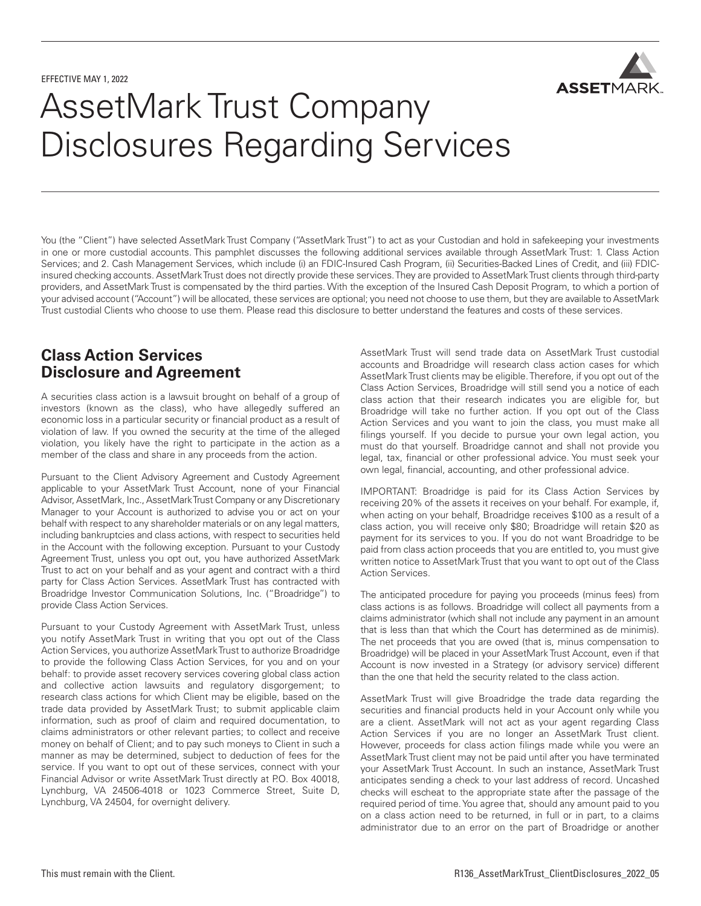

# AssetMark Trust Company Disclosures Regarding Services

You (the "Client") have selected AssetMark Trust Company ("AssetMark Trust") to act as your Custodian and hold in safekeeping your investments in one or more custodial accounts. This pamphlet discusses the following additional services available through AssetMark Trust: 1. Class Action Services; and 2. Cash Management Services, which include (i) an FDIC-Insured Cash Program, (ii) Securities-Backed Lines of Credit, and (iii) FDICinsured checking accounts. AssetMark Trust does not directly provide these services. They are provided to AssetMark Trust clients through third-party providers, and AssetMark Trust is compensated by the third parties. With the exception of the Insured Cash Deposit Program, to which a portion of your advised account ("Account") will be allocated, these services are optional; you need not choose to use them, but they are available to AssetMark Trust custodial Clients who choose to use them. Please read this disclosure to better understand the features and costs of these services.

# **Class Action Services Disclosure and Agreement**

A securities class action is a lawsuit brought on behalf of a group of investors (known as the class), who have allegedly suffered an economic loss in a particular security or financial product as a result of violation of law. If you owned the security at the time of the alleged violation, you likely have the right to participate in the action as a member of the class and share in any proceeds from the action.

Pursuant to the Client Advisory Agreement and Custody Agreement applicable to your AssetMark Trust Account, none of your Financial Advisor, AssetMark, Inc., AssetMark Trust Company or any Discretionary Manager to your Account is authorized to advise you or act on your behalf with respect to any shareholder materials or on any legal matters, including bankruptcies and class actions, with respect to securities held in the Account with the following exception. Pursuant to your Custody Agreement Trust, unless you opt out, you have authorized AssetMark Trust to act on your behalf and as your agent and contract with a third party for Class Action Services. AssetMark Trust has contracted with Broadridge Investor Communication Solutions, Inc. ("Broadridge") to provide Class Action Services.

Pursuant to your Custody Agreement with AssetMark Trust, unless you notify AssetMark Trust in writing that you opt out of the Class Action Services, you authorize AssetMark Trust to authorize Broadridge to provide the following Class Action Services, for you and on your behalf: to provide asset recovery services covering global class action and collective action lawsuits and regulatory disgorgement; to research class actions for which Client may be eligible, based on the trade data provided by AssetMark Trust; to submit applicable claim information, such as proof of claim and required documentation, to claims administrators or other relevant parties; to collect and receive money on behalf of Client; and to pay such moneys to Client in such a manner as may be determined, subject to deduction of fees for the service. If you want to opt out of these services, connect with your Financial Advisor or write AssetMark Trust directly at P.O. Box 40018, Lynchburg, VA 24506-4018 or 1023 Commerce Street, Suite D, Lynchburg, VA 24504, for overnight delivery.

AssetMark Trust will send trade data on AssetMark Trust custodial accounts and Broadridge will research class action cases for which AssetMark Trust clients may be eligible. Therefore, if you opt out of the Class Action Services, Broadridge will still send you a notice of each class action that their research indicates you are eligible for, but Broadridge will take no further action. If you opt out of the Class Action Services and you want to join the class, you must make all filings yourself. If you decide to pursue your own legal action, you must do that yourself. Broadridge cannot and shall not provide you legal, tax, financial or other professional advice. You must seek your own legal, financial, accounting, and other professional advice.

IMPORTANT: Broadridge is paid for its Class Action Services by receiving 20% of the assets it receives on your behalf. For example, if, when acting on your behalf, Broadridge receives \$100 as a result of a class action, you will receive only \$80; Broadridge will retain \$20 as payment for its services to you. If you do not want Broadridge to be paid from class action proceeds that you are entitled to, you must give written notice to AssetMark Trust that you want to opt out of the Class Action Services.

The anticipated procedure for paying you proceeds (minus fees) from class actions is as follows. Broadridge will collect all payments from a claims administrator (which shall not include any payment in an amount that is less than that which the Court has determined as de minimis). The net proceeds that you are owed (that is, minus compensation to Broadridge) will be placed in your AssetMark Trust Account, even if that Account is now invested in a Strategy (or advisory service) different than the one that held the security related to the class action.

AssetMark Trust will give Broadridge the trade data regarding the securities and financial products held in your Account only while you are a client. AssetMark will not act as your agent regarding Class Action Services if you are no longer an AssetMark Trust client. However, proceeds for class action filings made while you were an AssetMark Trust client may not be paid until after you have terminated your AssetMark Trust Account. In such an instance, AssetMark Trust anticipates sending a check to your last address of record. Uncashed checks will escheat to the appropriate state after the passage of the required period of time. You agree that, should any amount paid to you on a class action need to be returned, in full or in part, to a claims administrator due to an error on the part of Broadridge or another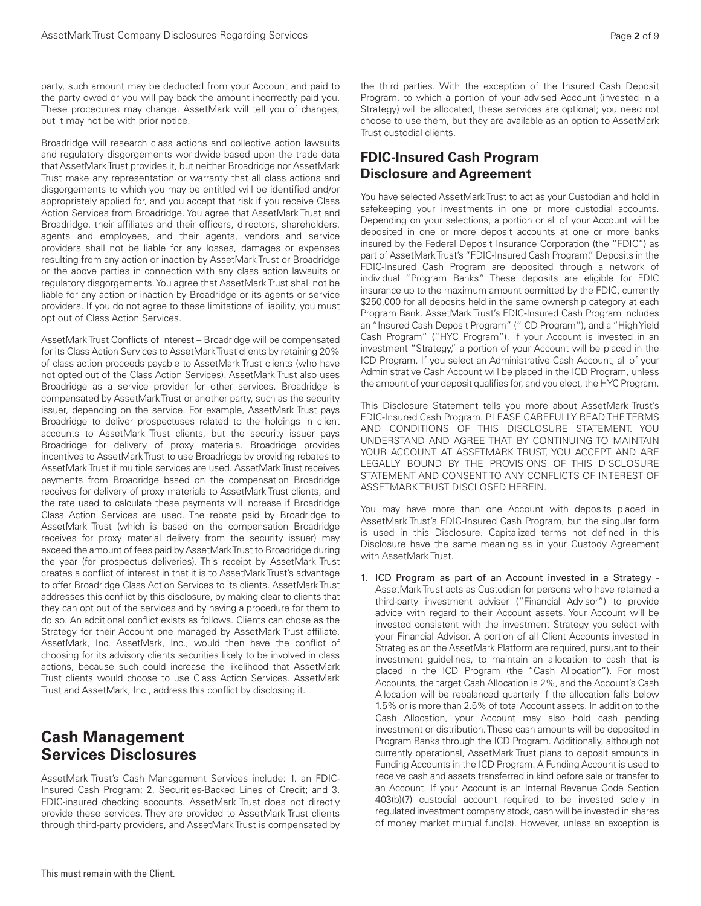party, such amount may be deducted from your Account and paid to the party owed or you will pay back the amount incorrectly paid you. These procedures may change. AssetMark will tell you of changes, but it may not be with prior notice.

Broadridge will research class actions and collective action lawsuits and regulatory disgorgements worldwide based upon the trade data that AssetMark Trust provides it, but neither Broadridge nor AssetMark Trust make any representation or warranty that all class actions and disgorgements to which you may be entitled will be identified and/or appropriately applied for, and you accept that risk if you receive Class Action Services from Broadridge. You agree that AssetMark Trust and Broadridge, their affiliates and their officers, directors, shareholders, agents and employees, and their agents, vendors and service providers shall not be liable for any losses, damages or expenses resulting from any action or inaction by AssetMark Trust or Broadridge or the above parties in connection with any class action lawsuits or regulatory disgorgements. You agree that AssetMark Trust shall not be liable for any action or inaction by Broadridge or its agents or service providers. If you do not agree to these limitations of liability, you must opt out of Class Action Services.

AssetMark Trust Conflicts of Interest – Broadridge will be compensated for its Class Action Services to AssetMark Trust clients by retaining 20% of class action proceeds payable to AssetMark Trust clients (who have not opted out of the Class Action Services). AssetMark Trust also uses Broadridge as a service provider for other services. Broadridge is compensated by AssetMark Trust or another party, such as the security issuer, depending on the service. For example, AssetMark Trust pays Broadridge to deliver prospectuses related to the holdings in client accounts to AssetMark Trust clients, but the security issuer pays Broadridge for delivery of proxy materials. Broadridge provides incentives to AssetMark Trust to use Broadridge by providing rebates to AssetMark Trust if multiple services are used. AssetMark Trust receives payments from Broadridge based on the compensation Broadridge receives for delivery of proxy materials to AssetMark Trust clients, and the rate used to calculate these payments will increase if Broadridge Class Action Services are used. The rebate paid by Broadridge to AssetMark Trust (which is based on the compensation Broadridge receives for proxy material delivery from the security issuer) may exceed the amount of fees paid by AssetMark Trust to Broadridge during the year (for prospectus deliveries). This receipt by AssetMark Trust creates a conflict of interest in that it is to AssetMark Trust's advantage to offer Broadridge Class Action Services to its clients. AssetMark Trust addresses this conflict by this disclosure, by making clear to clients that they can opt out of the services and by having a procedure for them to do so. An additional conflict exists as follows. Clients can chose as the Strategy for their Account one managed by AssetMark Trust affiliate, AssetMark, Inc. AssetMark, Inc., would then have the conflict of choosing for its advisory clients securities likely to be involved in class actions, because such could increase the likelihood that AssetMark Trust clients would choose to use Class Action Services. AssetMark Trust and AssetMark, Inc., address this conflict by disclosing it.

# **Cash Management Services Disclosures**

AssetMark Trust's Cash Management Services include: 1. an FDIC-Insured Cash Program; 2. Securities-Backed Lines of Credit; and 3. FDIC-insured checking accounts. AssetMark Trust does not directly provide these services. They are provided to AssetMark Trust clients through third-party providers, and AssetMark Trust is compensated by the third parties. With the exception of the Insured Cash Deposit Program, to which a portion of your advised Account (invested in a Strategy) will be allocated, these services are optional; you need not choose to use them, but they are available as an option to AssetMark Trust custodial clients.

## **FDIC-Insured Cash Program Disclosure and Agreement**

You have selected AssetMark Trust to act as your Custodian and hold in safekeeping your investments in one or more custodial accounts. Depending on your selections, a portion or all of your Account will be deposited in one or more deposit accounts at one or more banks insured by the Federal Deposit Insurance Corporation (the "FDIC") as part of AssetMark Trust's "FDIC-Insured Cash Program." Deposits in the FDIC-Insured Cash Program are deposited through a network of individual "Program Banks." These deposits are eligible for FDIC insurance up to the maximum amount permitted by the FDIC, currently \$250,000 for all deposits held in the same ownership category at each Program Bank. AssetMark Trust's FDIC-Insured Cash Program includes an "Insured Cash Deposit Program" ("ICD Program"), and a "High Yield Cash Program" ("HYC Program"). If your Account is invested in an investment "Strategy," a portion of your Account will be placed in the ICD Program. If you select an Administrative Cash Account, all of your Administrative Cash Account will be placed in the ICD Program, unless the amount of your deposit qualifies for, and you elect, the HYC Program.

This Disclosure Statement tells you more about AssetMark Trust's FDIC-Insured Cash Program. PLEASE CAREFULLY READ THE TERMS AND CONDITIONS OF THIS DISCLOSURE STATEMENT. YOU UNDERSTAND AND AGREE THAT BY CONTINUING TO MAINTAIN YOUR ACCOUNT AT ASSETMARK TRUST, YOU ACCEPT AND ARE LEGALLY BOUND BY THE PROVISIONS OF THIS DISCLOSURE STATEMENT AND CONSENT TO ANY CONFLICTS OF INTEREST OF ASSETMARK TRUST DISCLOSED HEREIN.

You may have more than one Account with deposits placed in AssetMark Trust's FDIC-Insured Cash Program, but the singular form is used in this Disclosure. Capitalized terms not defined in this Disclosure have the same meaning as in your Custody Agreement with AssetMark Trust.

1. ICD Program as part of an Account invested in a Strategy - AssetMark Trust acts as Custodian for persons who have retained a third-party investment adviser ("Financial Advisor") to provide advice with regard to their Account assets. Your Account will be invested consistent with the investment Strategy you select with your Financial Advisor. A portion of all Client Accounts invested in Strategies on the AssetMark Platform are required, pursuant to their investment guidelines, to maintain an allocation to cash that is placed in the ICD Program (the "Cash Allocation"). For most Accounts, the target Cash Allocation is 2%, and the Account's Cash Allocation will be rebalanced quarterly if the allocation falls below 1.5% or is more than 2.5% of total Account assets. In addition to the Cash Allocation, your Account may also hold cash pending investment or distribution. These cash amounts will be deposited in Program Banks through the ICD Program. Additionally, although not currently operational, AssetMark Trust plans to deposit amounts in Funding Accounts in the ICD Program. A Funding Account is used to receive cash and assets transferred in kind before sale or transfer to an Account. If your Account is an Internal Revenue Code Section 403(b)(7) custodial account required to be invested solely in regulated investment company stock, cash will be invested in shares of money market mutual fund(s). However, unless an exception is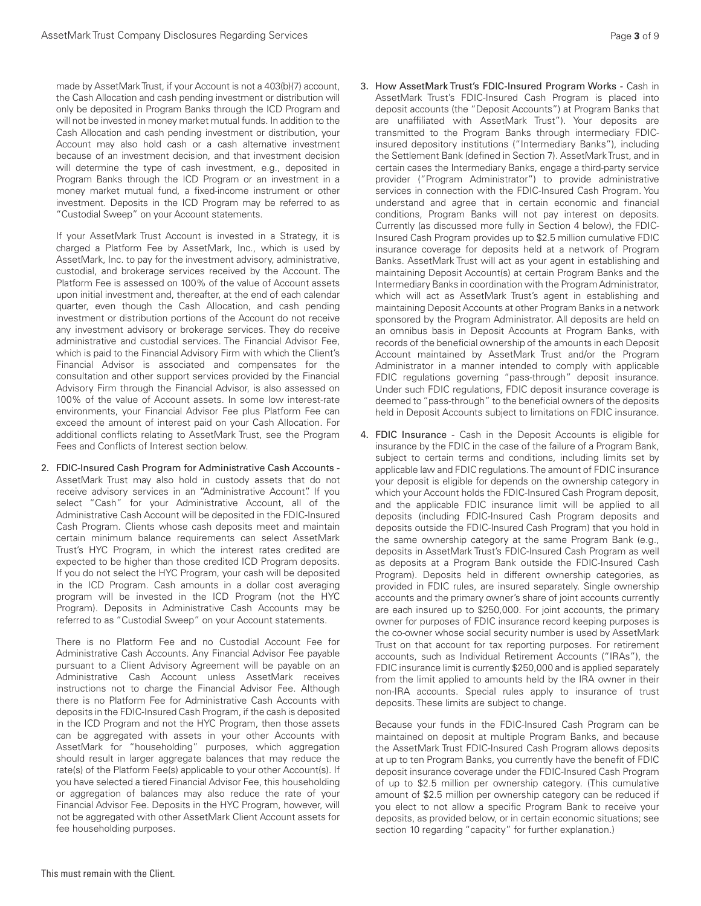made by AssetMark Trust, if your Account is not a 403(b)(7) account, the Cash Allocation and cash pending investment or distribution will only be deposited in Program Banks through the ICD Program and will not be invested in money market mutual funds. In addition to the Cash Allocation and cash pending investment or distribution, your Account may also hold cash or a cash alternative investment because of an investment decision, and that investment decision will determine the type of cash investment, e.g., deposited in Program Banks through the ICD Program or an investment in a money market mutual fund, a fixed-income instrument or other investment. Deposits in the ICD Program may be referred to as "Custodial Sweep" on your Account statements.

If your AssetMark Trust Account is invested in a Strategy, it is charged a Platform Fee by AssetMark, Inc., which is used by AssetMark, Inc. to pay for the investment advisory, administrative, custodial, and brokerage services received by the Account. The Platform Fee is assessed on 100% of the value of Account assets upon initial investment and, thereafter, at the end of each calendar quarter, even though the Cash Allocation, and cash pending investment or distribution portions of the Account do not receive any investment advisory or brokerage services. They do receive administrative and custodial services. The Financial Advisor Fee, which is paid to the Financial Advisory Firm with which the Client's Financial Advisor is associated and compensates for the consultation and other support services provided by the Financial Advisory Firm through the Financial Advisor, is also assessed on 100% of the value of Account assets. In some low interest-rate environments, your Financial Advisor Fee plus Platform Fee can exceed the amount of interest paid on your Cash Allocation. For additional conflicts relating to AssetMark Trust, see the Program Fees and Conflicts of Interest section below.

2. FDIC-Insured Cash Program for Administrative Cash Accounts - AssetMark Trust may also hold in custody assets that do not receive advisory services in an "Administrative Account". If you select "Cash" for your Administrative Account, all of the Administrative Cash Account will be deposited in the FDIC-Insured Cash Program. Clients whose cash deposits meet and maintain certain minimum balance requirements can select AssetMark Trust's HYC Program, in which the interest rates credited are expected to be higher than those credited ICD Program deposits. If you do not select the HYC Program, your cash will be deposited in the ICD Program. Cash amounts in a dollar cost averaging program will be invested in the ICD Program (not the HYC Program). Deposits in Administrative Cash Accounts may be referred to as "Custodial Sweep" on your Account statements.

There is no Platform Fee and no Custodial Account Fee for Administrative Cash Accounts. Any Financial Advisor Fee payable pursuant to a Client Advisory Agreement will be payable on an Administrative Cash Account unless AssetMark receives instructions not to charge the Financial Advisor Fee. Although there is no Platform Fee for Administrative Cash Accounts with deposits in the FDIC-Insured Cash Program, if the cash is deposited in the ICD Program and not the HYC Program, then those assets can be aggregated with assets in your other Accounts with AssetMark for "householding" purposes, which aggregation should result in larger aggregate balances that may reduce the rate(s) of the Platform Fee(s) applicable to your other Account(s). If you have selected a tiered Financial Advisor Fee, this householding or aggregation of balances may also reduce the rate of your Financial Advisor Fee. Deposits in the HYC Program, however, will not be aggregated with other AssetMark Client Account assets for fee householding purposes.

- 3. How AssetMark Trust's FDIC-Insured Program Works Cash in AssetMark Trust's FDIC-Insured Cash Program is placed into deposit accounts (the "Deposit Accounts") at Program Banks that are unaffiliated with AssetMark Trust"). Your deposits are transmitted to the Program Banks through intermediary FDICinsured depository institutions ("Intermediary Banks"), including the Settlement Bank (defined in Section 7). AssetMark Trust, and in certain cases the Intermediary Banks, engage a third-party service provider ("Program Administrator") to provide administrative services in connection with the FDIC-Insured Cash Program. You understand and agree that in certain economic and financial conditions, Program Banks will not pay interest on deposits. Currently (as discussed more fully in Section 4 below), the FDIC-Insured Cash Program provides up to \$2.5 million cumulative FDIC insurance coverage for deposits held at a network of Program Banks. AssetMark Trust will act as your agent in establishing and maintaining Deposit Account(s) at certain Program Banks and the Intermediary Banks in coordination with the Program Administrator, which will act as AssetMark Trust's agent in establishing and maintaining Deposit Accounts at other Program Banks in a network sponsored by the Program Administrator. All deposits are held on an omnibus basis in Deposit Accounts at Program Banks, with records of the beneficial ownership of the amounts in each Deposit Account maintained by AssetMark Trust and/or the Program Administrator in a manner intended to comply with applicable FDIC regulations governing "pass-through" deposit insurance. Under such FDIC regulations, FDIC deposit insurance coverage is deemed to "pass-through" to the beneficial owners of the deposits held in Deposit Accounts subject to limitations on FDIC insurance.
- 4. FDIC Insurance Cash in the Deposit Accounts is eligible for insurance by the FDIC in the case of the failure of a Program Bank, subject to certain terms and conditions, including limits set by applicable law and FDIC regulations. The amount of FDIC insurance your deposit is eligible for depends on the ownership category in which your Account holds the FDIC-Insured Cash Program deposit, and the applicable FDIC insurance limit will be applied to all deposits (including FDIC-Insured Cash Program deposits and deposits outside the FDIC-Insured Cash Program) that you hold in the same ownership category at the same Program Bank (e.g., deposits in AssetMark Trust's FDIC-Insured Cash Program as well as deposits at a Program Bank outside the FDIC-Insured Cash Program). Deposits held in different ownership categories, as provided in FDIC rules, are insured separately. Single ownership accounts and the primary owner's share of joint accounts currently are each insured up to \$250,000. For joint accounts, the primary owner for purposes of FDIC insurance record keeping purposes is the co-owner whose social security number is used by AssetMark Trust on that account for tax reporting purposes. For retirement accounts, such as Individual Retirement Accounts ("IRAs"), the FDIC insurance limit is currently \$250,000 and is applied separately from the limit applied to amounts held by the IRA owner in their non-IRA accounts. Special rules apply to insurance of trust deposits. These limits are subject to change.

Because your funds in the FDIC-Insured Cash Program can be maintained on deposit at multiple Program Banks, and because the AssetMark Trust FDIC-Insured Cash Program allows deposits at up to ten Program Banks, you currently have the benefit of FDIC deposit insurance coverage under the FDIC-Insured Cash Program of up to \$2.5 million per ownership category. (This cumulative amount of \$2.5 million per ownership category can be reduced if you elect to not allow a specific Program Bank to receive your deposits, as provided below, or in certain economic situations; see section 10 regarding "capacity" for further explanation.)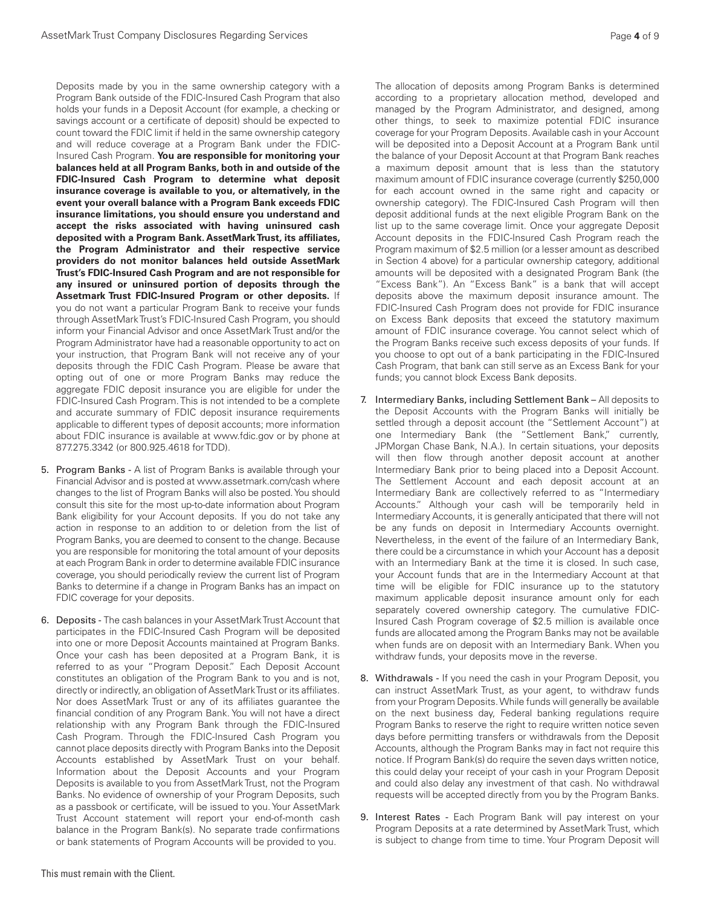Deposits made by you in the same ownership category with a Program Bank outside of the FDIC-Insured Cash Program that also holds your funds in a Deposit Account (for example, a checking or savings account or a certificate of deposit) should be expected to count toward the FDIC limit if held in the same ownership category and will reduce coverage at a Program Bank under the FDIC-Insured Cash Program. **You are responsible for monitoring your balances held at all Program Banks, both in and outside of the FDIC-Insured Cash Program to determine what deposit insurance coverage is available to you, or alternatively, in the event your overall balance with a Program Bank exceeds FDIC insurance limitations, you should ensure you understand and accept the risks associated with having uninsured cash deposited with a Program Bank. AssetMark Trust, its affiliates, the Program Administrator and their respective service providers do not monitor balances held outside AssetMark Trust's FDIC-Insured Cash Program and are not responsible for any insured or uninsured portion of deposits through the Assetmark Trust FDIC-Insured Program or other deposits.** If you do not want a particular Program Bank to receive your funds through AssetMark Trust's FDIC-Insured Cash Program, you should inform your Financial Advisor and once AssetMark Trust and/or the Program Administrator have had a reasonable opportunity to act on your instruction, that Program Bank will not receive any of your deposits through the FDIC Cash Program. Please be aware that opting out of one or more Program Banks may reduce the aggregate FDIC deposit insurance you are eligible for under the FDIC-Insured Cash Program. This is not intended to be a complete and accurate summary of FDIC deposit insurance requirements applicable to different types of deposit accounts; more information about FDIC insurance is available at www.fdic.gov or by phone at 877.275.3342 (or 800.925.4618 for TDD).

- 5. Program Banks A list of Program Banks is available through your Financial Advisor and is posted at www.assetmark.com/cash where changes to the list of Program Banks will also be posted. You should consult this site for the most up-to-date information about Program Bank eligibility for your Account deposits. If you do not take any action in response to an addition to or deletion from the list of Program Banks, you are deemed to consent to the change. Because you are responsible for monitoring the total amount of your deposits at each Program Bank in order to determine available FDIC insurance coverage, you should periodically review the current list of Program Banks to determine if a change in Program Banks has an impact on FDIC coverage for your deposits.
- 6. Deposits The cash balances in your AssetMark Trust Account that participates in the FDIC-Insured Cash Program will be deposited into one or more Deposit Accounts maintained at Program Banks. Once your cash has been deposited at a Program Bank, it is referred to as your "Program Deposit." Each Deposit Account constitutes an obligation of the Program Bank to you and is not, directly or indirectly, an obligation of AssetMark Trust or its affiliates. Nor does AssetMark Trust or any of its affiliates guarantee the financial condition of any Program Bank. You will not have a direct relationship with any Program Bank through the FDIC-Insured Cash Program. Through the FDIC-Insured Cash Program you cannot place deposits directly with Program Banks into the Deposit Accounts established by AssetMark Trust on your behalf. Information about the Deposit Accounts and your Program Deposits is available to you from AssetMark Trust, not the Program Banks. No evidence of ownership of your Program Deposits, such as a passbook or certificate, will be issued to you. Your AssetMark Trust Account statement will report your end-of-month cash balance in the Program Bank(s). No separate trade confirmations or bank statements of Program Accounts will be provided to you.

The allocation of deposits among Program Banks is determined according to a proprietary allocation method, developed and managed by the Program Administrator, and designed, among other things, to seek to maximize potential FDIC insurance coverage for your Program Deposits. Available cash in your Account will be deposited into a Deposit Account at a Program Bank until the balance of your Deposit Account at that Program Bank reaches a maximum deposit amount that is less than the statutory maximum amount of FDIC insurance coverage (currently \$250,000 for each account owned in the same right and capacity or ownership category). The FDIC-Insured Cash Program will then deposit additional funds at the next eligible Program Bank on the list up to the same coverage limit. Once your aggregate Deposit Account deposits in the FDIC-Insured Cash Program reach the Program maximum of \$2.5 million (or a lesser amount as described in Section 4 above) for a particular ownership category, additional amounts will be deposited with a designated Program Bank (the "Excess Bank"). An "Excess Bank" is a bank that will accept deposits above the maximum deposit insurance amount. The FDIC-Insured Cash Program does not provide for FDIC insurance on Excess Bank deposits that exceed the statutory maximum amount of FDIC insurance coverage. You cannot select which of the Program Banks receive such excess deposits of your funds. If you choose to opt out of a bank participating in the FDIC-Insured Cash Program, that bank can still serve as an Excess Bank for your funds; you cannot block Excess Bank deposits.

- 7. Intermediary Banks, including Settlement Bank All deposits to the Deposit Accounts with the Program Banks will initially be settled through a deposit account (the "Settlement Account") at one Intermediary Bank (the "Settlement Bank," currently, JPMorgan Chase Bank, N.A.). In certain situations, your deposits will then flow through another deposit account at another Intermediary Bank prior to being placed into a Deposit Account. The Settlement Account and each deposit account at an Intermediary Bank are collectively referred to as "Intermediary Accounts." Although your cash will be temporarily held in Intermediary Accounts, it is generally anticipated that there will not be any funds on deposit in Intermediary Accounts overnight. Nevertheless, in the event of the failure of an Intermediary Bank, there could be a circumstance in which your Account has a deposit with an Intermediary Bank at the time it is closed. In such case, your Account funds that are in the Intermediary Account at that time will be eligible for FDIC insurance up to the statutory maximum applicable deposit insurance amount only for each separately covered ownership category. The cumulative FDIC-Insured Cash Program coverage of \$2.5 million is available once funds are allocated among the Program Banks may not be available when funds are on deposit with an Intermediary Bank. When you withdraw funds, your deposits move in the reverse.
- 8. Withdrawals If you need the cash in your Program Deposit, you can instruct AssetMark Trust, as your agent, to withdraw funds from your Program Deposits. While funds will generally be available on the next business day, Federal banking regulations require Program Banks to reserve the right to require written notice seven days before permitting transfers or withdrawals from the Deposit Accounts, although the Program Banks may in fact not require this notice. If Program Bank(s) do require the seven days written notice, this could delay your receipt of your cash in your Program Deposit and could also delay any investment of that cash. No withdrawal requests will be accepted directly from you by the Program Banks.
- 9. Interest Rates Each Program Bank will pay interest on your Program Deposits at a rate determined by AssetMark Trust, which is subject to change from time to time. Your Program Deposit will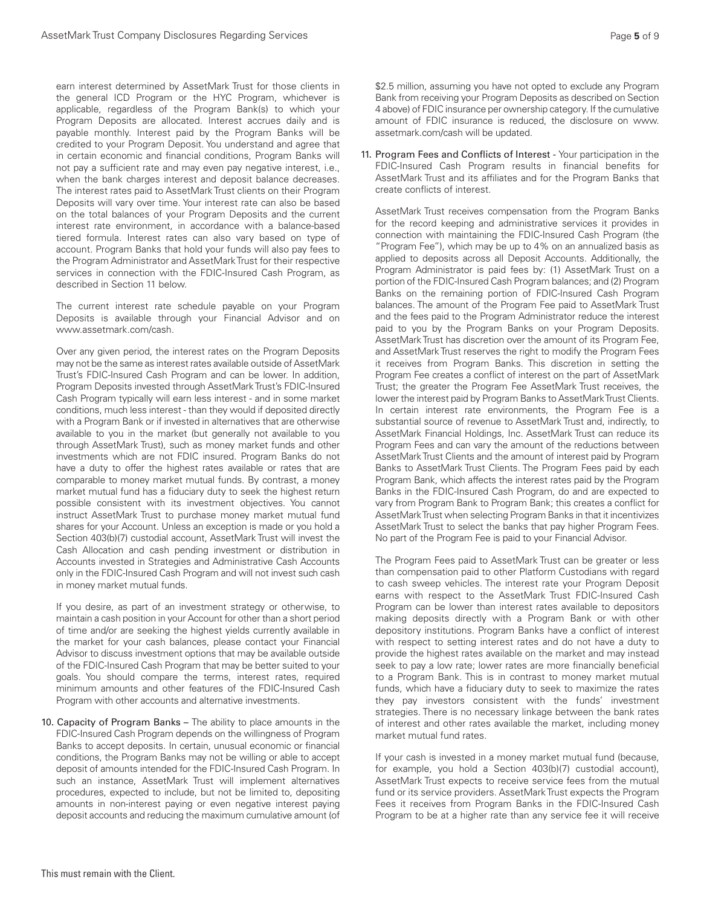earn interest determined by AssetMark Trust for those clients in the general ICD Program or the HYC Program, whichever is applicable, regardless of the Program Bank(s) to which your Program Deposits are allocated. Interest accrues daily and is payable monthly. Interest paid by the Program Banks will be credited to your Program Deposit. You understand and agree that in certain economic and financial conditions, Program Banks will not pay a sufficient rate and may even pay negative interest, i.e., when the bank charges interest and deposit balance decreases. The interest rates paid to AssetMark Trust clients on their Program Deposits will vary over time. Your interest rate can also be based on the total balances of your Program Deposits and the current interest rate environment, in accordance with a balance-based tiered formula. Interest rates can also vary based on type of account. Program Banks that hold your funds will also pay fees to the Program Administrator and AssetMark Trust for their respective services in connection with the FDIC-Insured Cash Program, as described in Section 11 below.

The current interest rate schedule payable on your Program Deposits is available through your Financial Advisor and on www.assetmark.com/cash.

Over any given period, the interest rates on the Program Deposits may not be the same as interest rates available outside of AssetMark Trust's FDIC-Insured Cash Program and can be lower. In addition, Program Deposits invested through AssetMark Trust's FDIC-Insured Cash Program typically will earn less interest - and in some market conditions, much less interest - than they would if deposited directly with a Program Bank or if invested in alternatives that are otherwise available to you in the market (but generally not available to you through AssetMark Trust), such as money market funds and other investments which are not FDIC insured. Program Banks do not have a duty to offer the highest rates available or rates that are comparable to money market mutual funds. By contrast, a money market mutual fund has a fiduciary duty to seek the highest return possible consistent with its investment objectives. You cannot instruct AssetMark Trust to purchase money market mutual fund shares for your Account. Unless an exception is made or you hold a Section 403(b)(7) custodial account, AssetMark Trust will invest the Cash Allocation and cash pending investment or distribution in Accounts invested in Strategies and Administrative Cash Accounts only in the FDIC-Insured Cash Program and will not invest such cash in money market mutual funds.

If you desire, as part of an investment strategy or otherwise, to maintain a cash position in your Account for other than a short period of time and/or are seeking the highest yields currently available in the market for your cash balances, please contact your Financial Advisor to discuss investment options that may be available outside of the FDIC-Insured Cash Program that may be better suited to your goals. You should compare the terms, interest rates, required minimum amounts and other features of the FDIC-Insured Cash Program with other accounts and alternative investments.

10. Capacity of Program Banks - The ability to place amounts in the FDIC-Insured Cash Program depends on the willingness of Program Banks to accept deposits. In certain, unusual economic or financial conditions, the Program Banks may not be willing or able to accept deposit of amounts intended for the FDIC-Insured Cash Program. In such an instance, AssetMark Trust will implement alternatives procedures, expected to include, but not be limited to, depositing amounts in non-interest paying or even negative interest paying deposit accounts and reducing the maximum cumulative amount (of

\$2.5 million, assuming you have not opted to exclude any Program Bank from receiving your Program Deposits as described on Section 4 above) of FDIC insurance per ownership category. If the cumulative amount of FDIC insurance is reduced, the disclosure on www. assetmark.com/cash will be updated.

11. Program Fees and Conflicts of Interest - Your participation in the FDIC-Insured Cash Program results in financial benefits for AssetMark Trust and its affiliates and for the Program Banks that create conflicts of interest.

AssetMark Trust receives compensation from the Program Banks for the record keeping and administrative services it provides in connection with maintaining the FDIC-Insured Cash Program (the "Program Fee"), which may be up to 4% on an annualized basis as applied to deposits across all Deposit Accounts. Additionally, the Program Administrator is paid fees by: (1) AssetMark Trust on a portion of the FDIC-Insured Cash Program balances; and (2) Program Banks on the remaining portion of FDIC-Insured Cash Program balances. The amount of the Program Fee paid to AssetMark Trust and the fees paid to the Program Administrator reduce the interest paid to you by the Program Banks on your Program Deposits. AssetMark Trust has discretion over the amount of its Program Fee, and AssetMark Trust reserves the right to modify the Program Fees it receives from Program Banks. This discretion in setting the Program Fee creates a conflict of interest on the part of AssetMark Trust; the greater the Program Fee AssetMark Trust receives, the lower the interest paid by Program Banks to AssetMark Trust Clients. In certain interest rate environments, the Program Fee is a substantial source of revenue to AssetMark Trust and, indirectly, to AssetMark Financial Holdings, Inc. AssetMark Trust can reduce its Program Fees and can vary the amount of the reductions between AssetMark Trust Clients and the amount of interest paid by Program Banks to AssetMark Trust Clients. The Program Fees paid by each Program Bank, which affects the interest rates paid by the Program Banks in the FDIC-Insured Cash Program, do and are expected to vary from Program Bank to Program Bank; this creates a conflict for AssetMark Trust when selecting Program Banks in that it incentivizes AssetMark Trust to select the banks that pay higher Program Fees. No part of the Program Fee is paid to your Financial Advisor.

The Program Fees paid to AssetMark Trust can be greater or less than compensation paid to other Platform Custodians with regard to cash sweep vehicles. The interest rate your Program Deposit earns with respect to the AssetMark Trust FDIC-Insured Cash Program can be lower than interest rates available to depositors making deposits directly with a Program Bank or with other depository institutions. Program Banks have a conflict of interest with respect to setting interest rates and do not have a duty to provide the highest rates available on the market and may instead seek to pay a low rate; lower rates are more financially beneficial to a Program Bank. This is in contrast to money market mutual funds, which have a fiduciary duty to seek to maximize the rates they pay investors consistent with the funds' investment strategies. There is no necessary linkage between the bank rates of interest and other rates available the market, including money market mutual fund rates.

If your cash is invested in a money market mutual fund (because, for example, you hold a Section 403(b)(7) custodial account), AssetMark Trust expects to receive service fees from the mutual fund or its service providers. AssetMark Trust expects the Program Fees it receives from Program Banks in the FDIC-Insured Cash Program to be at a higher rate than any service fee it will receive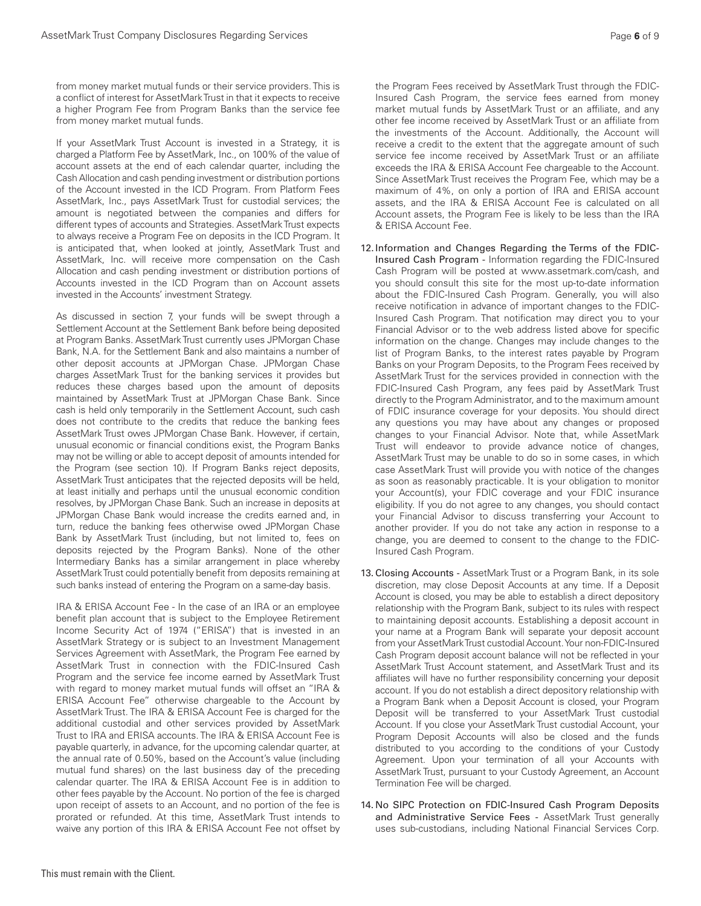from money market mutual funds or their service providers. This is a conflict of interest for AssetMark Trust in that it expects to receive a higher Program Fee from Program Banks than the service fee from money market mutual funds.

If your AssetMark Trust Account is invested in a Strategy, it is charged a Platform Fee by AssetMark, Inc., on 100% of the value of account assets at the end of each calendar quarter, including the Cash Allocation and cash pending investment or distribution portions of the Account invested in the ICD Program. From Platform Fees AssetMark, Inc., pays AssetMark Trust for custodial services; the amount is negotiated between the companies and differs for different types of accounts and Strategies. AssetMark Trust expects to always receive a Program Fee on deposits in the ICD Program. It is anticipated that, when looked at jointly, AssetMark Trust and AssetMark, Inc. will receive more compensation on the Cash Allocation and cash pending investment or distribution portions of Accounts invested in the ICD Program than on Account assets invested in the Accounts' investment Strategy.

As discussed in section 7, your funds will be swept through a Settlement Account at the Settlement Bank before being deposited at Program Banks. AssetMark Trust currently uses JPMorgan Chase Bank, N.A. for the Settlement Bank and also maintains a number of other deposit accounts at JPMorgan Chase. JPMorgan Chase charges AssetMark Trust for the banking services it provides but reduces these charges based upon the amount of deposits maintained by AssetMark Trust at JPMorgan Chase Bank. Since cash is held only temporarily in the Settlement Account, such cash does not contribute to the credits that reduce the banking fees AssetMark Trust owes JPMorgan Chase Bank. However, if certain, unusual economic or financial conditions exist, the Program Banks may not be willing or able to accept deposit of amounts intended for the Program (see section 10). If Program Banks reject deposits, AssetMark Trust anticipates that the rejected deposits will be held, at least initially and perhaps until the unusual economic condition resolves, by JPMorgan Chase Bank. Such an increase in deposits at JPMorgan Chase Bank would increase the credits earned and, in turn, reduce the banking fees otherwise owed JPMorgan Chase Bank by AssetMark Trust (including, but not limited to, fees on deposits rejected by the Program Banks). None of the other Intermediary Banks has a similar arrangement in place whereby AssetMark Trust could potentially benefit from deposits remaining at such banks instead of entering the Program on a same-day basis.

IRA & ERISA Account Fee - In the case of an IRA or an employee benefit plan account that is subject to the Employee Retirement Income Security Act of 1974 ("ERISA") that is invested in an AssetMark Strategy or is subject to an Investment Management Services Agreement with AssetMark, the Program Fee earned by AssetMark Trust in connection with the FDIC-Insured Cash Program and the service fee income earned by AssetMark Trust with regard to money market mutual funds will offset an "IRA & ERISA Account Fee" otherwise chargeable to the Account by AssetMark Trust. The IRA & ERISA Account Fee is charged for the additional custodial and other services provided by AssetMark Trust to IRA and ERISA accounts. The IRA & ERISA Account Fee is payable quarterly, in advance, for the upcoming calendar quarter, at the annual rate of 0.50%, based on the Account's value (including mutual fund shares) on the last business day of the preceding calendar quarter. The IRA & ERISA Account Fee is in addition to other fees payable by the Account. No portion of the fee is charged upon receipt of assets to an Account, and no portion of the fee is prorated or refunded. At this time, AssetMark Trust intends to waive any portion of this IRA & ERISA Account Fee not offset by

the Program Fees received by AssetMark Trust through the FDIC-Insured Cash Program, the service fees earned from money market mutual funds by AssetMark Trust or an affiliate, and any other fee income received by AssetMark Trust or an affiliate from the investments of the Account. Additionally, the Account will receive a credit to the extent that the aggregate amount of such service fee income received by AssetMark Trust or an affiliate exceeds the IRA & ERISA Account Fee chargeable to the Account. Since AssetMark Trust receives the Program Fee, which may be a maximum of 4%, on only a portion of IRA and ERISA account assets, and the IRA & ERISA Account Fee is calculated on all Account assets, the Program Fee is likely to be less than the IRA & ERISA Account Fee.

- 12. Information and Changes Regarding the Terms of the FDIC-Insured Cash Program - Information regarding the FDIC-Insured Cash Program will be posted at www.assetmark.com/cash, and you should consult this site for the most up-to-date information about the FDIC-Insured Cash Program. Generally, you will also receive notification in advance of important changes to the FDIC-Insured Cash Program. That notification may direct you to your Financial Advisor or to the web address listed above for specific information on the change. Changes may include changes to the list of Program Banks, to the interest rates payable by Program Banks on your Program Deposits, to the Program Fees received by AssetMark Trust for the services provided in connection with the FDIC-Insured Cash Program, any fees paid by AssetMark Trust directly to the Program Administrator, and to the maximum amount of FDIC insurance coverage for your deposits. You should direct any questions you may have about any changes or proposed changes to your Financial Advisor. Note that, while AssetMark Trust will endeavor to provide advance notice of changes, AssetMark Trust may be unable to do so in some cases, in which case AssetMark Trust will provide you with notice of the changes as soon as reasonably practicable. It is your obligation to monitor your Account(s), your FDIC coverage and your FDIC insurance eligibility. If you do not agree to any changes, you should contact your Financial Advisor to discuss transferring your Account to another provider. If you do not take any action in response to a change, you are deemed to consent to the change to the FDIC-Insured Cash Program.
- 13. Closing Accounts AssetMark Trust or a Program Bank, in its sole discretion, may close Deposit Accounts at any time. If a Deposit Account is closed, you may be able to establish a direct depository relationship with the Program Bank, subject to its rules with respect to maintaining deposit accounts. Establishing a deposit account in your name at a Program Bank will separate your deposit account from your AssetMark Trust custodial Account. Your non-FDIC-Insured Cash Program deposit account balance will not be reflected in your AssetMark Trust Account statement, and AssetMark Trust and its affiliates will have no further responsibility concerning your deposit account. If you do not establish a direct depository relationship with a Program Bank when a Deposit Account is closed, your Program Deposit will be transferred to your AssetMark Trust custodial Account. If you close your AssetMark Trust custodial Account, your Program Deposit Accounts will also be closed and the funds distributed to you according to the conditions of your Custody Agreement. Upon your termination of all your Accounts with AssetMark Trust, pursuant to your Custody Agreement, an Account Termination Fee will be charged.
- 14. No SIPC Protection on FDIC-Insured Cash Program Deposits and Administrative Service Fees - AssetMark Trust generally uses sub-custodians, including National Financial Services Corp.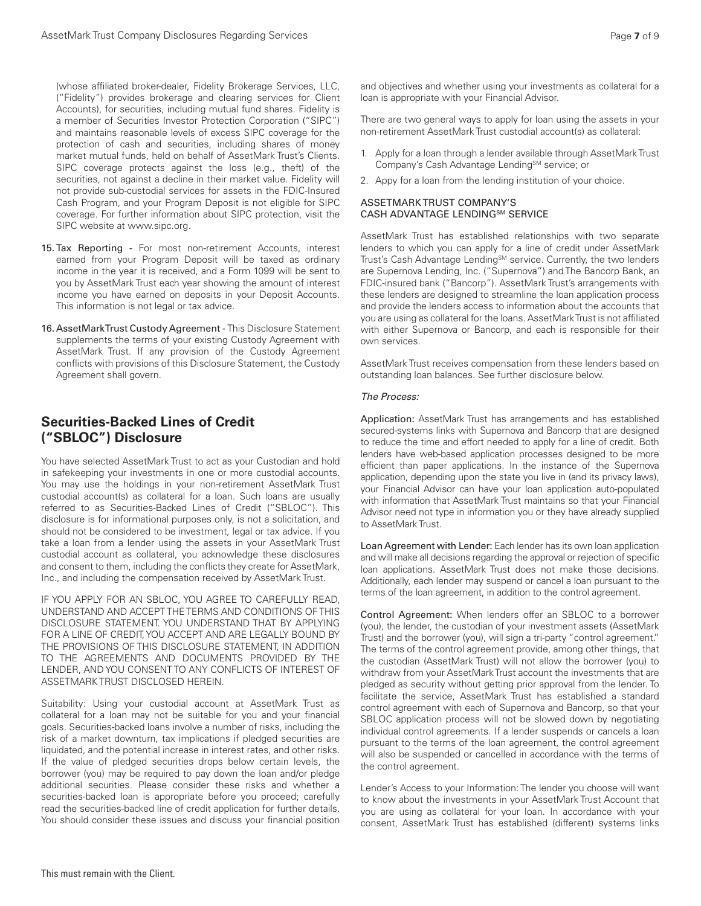(whose affiliated broker-dealer, Fidelity Brokerage Services, LLC, ("Fidelity") provides brokerage and clearing services for Client Accounts), for securities, including mutual fund shares. Fidelity is a member of Securities Investor Protection Corporation ("SIPC") and maintains reasonable levels of excess SIPC coverage for the protection of cash and securities, including shares of money market mutual funds, held on behalf of AssetMark Trust's Clients. SIPC coverage protects against the loss (e.g., theft) of the securities, not against a decline in their market value. Fidelity will not provide sub-custodial services for assets in the FDIC-Insured Cash Program, and your Program Deposit is not eligible for SIPC coverage. For further information about SIPC protection, visit the SIPC website at www.sipc.org.

- 15. Tax Reporting For most non-retirement Accounts, interest earned from your Program Deposit will be taxed as ordinary income in the year it is received, and a Form 1099 will be sent to you by AssetMark Trust each year showing the amount of interest income you have earned on deposits in your Deposit Accounts. This information is not legal or tax advice.
- 16. AssetMark Trust Custody Agreement This Disclosure Statement supplements the terms of your existing Custody Agreement with AssetMark Trust. If any provision of the Custody Agreement conflicts with provisions of this Disclosure Statement, the Custody Agreement shall govern.

### **Securities-Backed Lines of Credit ("SBLOC") Disclosure**

You have selected AssetMark Trust to act as your Custodian and hold in safekeeping your investments in one or more custodial accounts. You may use the holdings in your non-retirement AssetMark Trust custodial account(s) as collateral for a loan. Such loans are usually referred to as Securities-Backed Lines of Credit ("SBLOC"). This disclosure is for informational purposes only, is not a solicitation, and should not be considered to be investment, legal or tax advice. If you take a loan from a lender using the assets in your AssetMark Trust custodial account as collateral, you acknowledge these disclosures and consent to them, including the conflicts they create for AssetMark, Inc., and including the compensation received by AssetMark Trust.

IF YOU APPLY FOR AN SBLOC, YOU AGREE TO CAREFULLY READ, UNDERSTAND AND ACCEPT THE TERMS AND CONDITIONS OF THIS DISCLOSURE STATEMENT. YOU UNDERSTAND THAT BY APPLYING FOR A LINE OF CREDIT, YOU ACCEPT AND ARE LEGALLY BOUND BY THE PROVISIONS OF THIS DISCLOSURE STATEMENT, IN ADDITION TO THE AGREEMENTS AND DOCUMENTS PROVIDED BY THE LENDER, AND YOU CONSENT TO ANY CONFLICTS OF INTEREST OF ASSETMARK TRUST DISCLOSED HEREIN.

Suitability: Using your custodial account at AssetMark Trust as collateral for a loan may not be suitable for you and your financial goals. Securities-backed loans involve a number of risks, including the risk of a market downturn, tax implications if pledged securities are liquidated, and the potential increase in interest rates, and other risks. If the value of pledged securities drops below certain levels, the borrower (you) may be required to pay down the loan and/or pledge additional securities. Please consider these risks and whether a securities-backed loan is appropriate before you proceed; carefully read the securities-backed line of credit application for further details. You should consider these issues and discuss your financial position

and objectives and whether using your investments as collateral for a loan is appropriate with your Financial Advisor.

There are two general ways to apply for loan using the assets in your non-retirement AssetMark Trust custodial account(s) as collateral:

- 1. Apply for a loan through a lender available through AssetMark Trust Company's Cash Advantage Lending<sup>SM</sup> service; or
- 2. Appy for a loan from the lending institution of your choice.

#### ASSETMARK TRUST COMPANY'S CASH ADVANTAGE LENDINGSM SERVICE

AssetMark Trust has established relationships with two separate lenders to which you can apply for a line of credit under AssetMark Trust's Cash Advantage Lending<sup>SM</sup> service. Currently, the two lenders are Supernova Lending, Inc. ("Supernova") and The Bancorp Bank, an FDIC-insured bank ("Bancorp"). AssetMark Trust's arrangements with these lenders are designed to streamline the loan application process and provide the lenders access to information about the accounts that you are using as collateral for the loans. AssetMark Trust is not affiliated with either Supernova or Bancorp, and each is responsible for their own services.

AssetMark Trust receives compensation from these lenders based on outstanding loan balances. See further disclosure below.

#### *The Process:*

Application: AssetMark Trust has arrangements and has established secured-systems links with Supernova and Bancorp that are designed to reduce the time and effort needed to apply for a line of credit. Both lenders have web-based application processes designed to be more efficient than paper applications. In the instance of the Supernova application, depending upon the state you live in (and its privacy laws), your Financial Advisor can have your loan application auto-populated with information that AssetMark Trust maintains so that your Financial Advisor need not type in information you or they have already supplied to AssetMark Trust.

Loan Agreement with Lender: Each lender has its own loan application and will make all decisions regarding the approval or rejection of specific loan applications. AssetMark Trust does not make those decisions. Additionally, each lender may suspend or cancel a loan pursuant to the terms of the loan agreement, in addition to the control agreement.

Control Agreement: When lenders offer an SBLOC to a borrower (you), the lender, the custodian of your investment assets (AssetMark Trust) and the borrower (you), will sign a tri-party "control agreement." The terms of the control agreement provide, among other things, that the custodian (AssetMark Trust) will not allow the borrower (you) to withdraw from your AssetMark Trust account the investments that are pledged as security without getting prior approval from the lender. To facilitate the service, AssetMark Trust has established a standard control agreement with each of Supernova and Bancorp, so that your SBLOC application process will not be slowed down by negotiating individual control agreements. If a lender suspends or cancels a loan pursuant to the terms of the loan agreement, the control agreement will also be suspended or cancelled in accordance with the terms of the control agreement.

Lender's Access to your Information: The lender you choose will want to know about the investments in your AssetMark Trust Account that you are using as collateral for your loan. In accordance with your consent, AssetMark Trust has established (different) systems links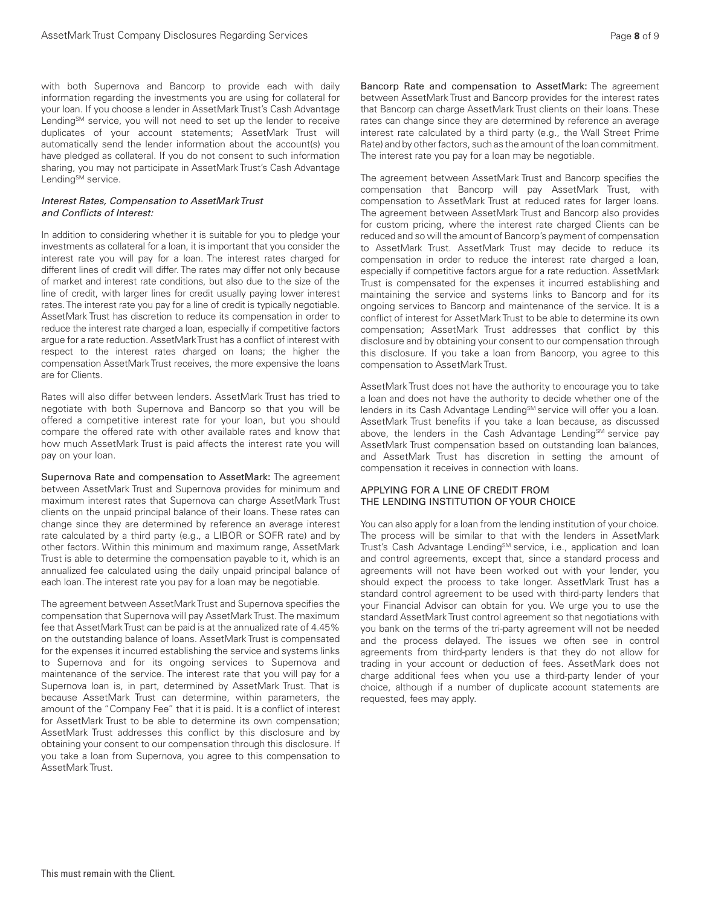with both Supernova and Bancorp to provide each with daily information regarding the investments you are using for collateral for your loan. If you choose a lender in AssetMark Trust's Cash Advantage Lending<sup>SM</sup> service, you will not need to set up the lender to receive duplicates of your account statements; AssetMark Trust will automatically send the lender information about the account(s) you have pledged as collateral. If you do not consent to such information sharing, you may not participate in AssetMark Trust's Cash Advantage Lending<sup>SM</sup> service.

#### *Interest Rates, Compensation to AssetMark Trust and Conflicts of Interest:*

In addition to considering whether it is suitable for you to pledge your investments as collateral for a loan, it is important that you consider the interest rate you will pay for a loan. The interest rates charged for different lines of credit will differ. The rates may differ not only because of market and interest rate conditions, but also due to the size of the line of credit, with larger lines for credit usually paying lower interest rates. The interest rate you pay for a line of credit is typically negotiable. AssetMark Trust has discretion to reduce its compensation in order to reduce the interest rate charged a loan, especially if competitive factors argue for a rate reduction. AssetMark Trust has a conflict of interest with respect to the interest rates charged on loans; the higher the compensation AssetMark Trust receives, the more expensive the loans are for Clients.

Rates will also differ between lenders. AssetMark Trust has tried to negotiate with both Supernova and Bancorp so that you will be offered a competitive interest rate for your loan, but you should compare the offered rate with other available rates and know that how much AssetMark Trust is paid affects the interest rate you will pay on your loan.

Supernova Rate and compensation to AssetMark: The agreement between AssetMark Trust and Supernova provides for minimum and maximum interest rates that Supernova can charge AssetMark Trust clients on the unpaid principal balance of their loans. These rates can change since they are determined by reference an average interest rate calculated by a third party (e.g., a LIBOR or SOFR rate) and by other factors. Within this minimum and maximum range, AssetMark Trust is able to determine the compensation payable to it, which is an annualized fee calculated using the daily unpaid principal balance of each loan. The interest rate you pay for a loan may be negotiable.

The agreement between AssetMark Trust and Supernova specifies the compensation that Supernova will pay AssetMark Trust. The maximum fee that AssetMark Trust can be paid is at the annualized rate of 4.45% on the outstanding balance of loans. AssetMark Trust is compensated for the expenses it incurred establishing the service and systems links to Supernova and for its ongoing services to Supernova and maintenance of the service. The interest rate that you will pay for a Supernova loan is, in part, determined by AssetMark Trust. That is because AssetMark Trust can determine, within parameters, the amount of the "Company Fee" that it is paid. It is a conflict of interest for AssetMark Trust to be able to determine its own compensation; AssetMark Trust addresses this conflict by this disclosure and by obtaining your consent to our compensation through this disclosure. If you take a loan from Supernova, you agree to this compensation to AssetMark Trust.

Bancorp Rate and compensation to AssetMark: The agreement between AssetMark Trust and Bancorp provides for the interest rates that Bancorp can charge AssetMark Trust clients on their loans. These rates can change since they are determined by reference an average interest rate calculated by a third party (e.g., the Wall Street Prime Rate) and by other factors, such as the amount of the loan commitment. The interest rate you pay for a loan may be negotiable.

The agreement between AssetMark Trust and Bancorp specifies the compensation that Bancorp will pay AssetMark Trust, with compensation to AssetMark Trust at reduced rates for larger loans. The agreement between AssetMark Trust and Bancorp also provides for custom pricing, where the interest rate charged Clients can be reduced and so will the amount of Bancorp's payment of compensation to AssetMark Trust. AssetMark Trust may decide to reduce its compensation in order to reduce the interest rate charged a loan, especially if competitive factors argue for a rate reduction. AssetMark Trust is compensated for the expenses it incurred establishing and maintaining the service and systems links to Bancorp and for its ongoing services to Bancorp and maintenance of the service. It is a conflict of interest for AssetMark Trust to be able to determine its own compensation; AssetMark Trust addresses that conflict by this disclosure and by obtaining your consent to our compensation through this disclosure. If you take a loan from Bancorp, you agree to this compensation to AssetMark Trust.

AssetMark Trust does not have the authority to encourage you to take a loan and does not have the authority to decide whether one of the lenders in its Cash Advantage Lending<sup>SM</sup> service will offer you a loan. AssetMark Trust benefits if you take a loan because, as discussed above, the lenders in the Cash Advantage Lending<sup>SM</sup> service pay AssetMark Trust compensation based on outstanding loan balances, and AssetMark Trust has discretion in setting the amount of compensation it receives in connection with loans.

#### APPLYING FOR A LINE OF CREDIT FROM THE LENDING INSTITUTION OF YOUR CHOICE

You can also apply for a loan from the lending institution of your choice. The process will be similar to that with the lenders in AssetMark Trust's Cash Advantage Lending<sup>SM</sup> service, i.e., application and loan and control agreements, except that, since a standard process and agreements will not have been worked out with your lender, you should expect the process to take longer. AssetMark Trust has a standard control agreement to be used with third-party lenders that your Financial Advisor can obtain for you. We urge you to use the standard AssetMark Trust control agreement so that negotiations with you bank on the terms of the tri-party agreement will not be needed and the process delayed. The issues we often see in control agreements from third-party lenders is that they do not allow for trading in your account or deduction of fees. AssetMark does not charge additional fees when you use a third-party lender of your choice, although if a number of duplicate account statements are requested, fees may apply.